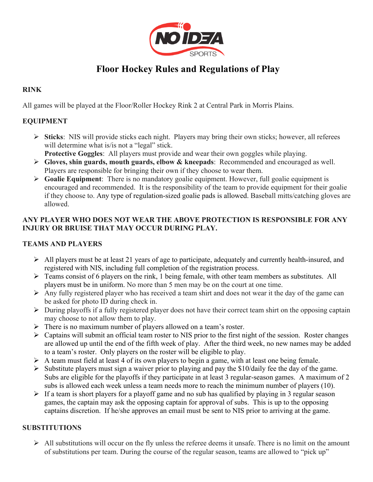

# **Floor Hockey Rules and Regulations of Play**

# **RINK**

All games will be played at the Floor/Roller Hockey Rink 2 at Central Park in Morris Plains.

# **EQUIPMENT**

- Ø **Sticks**: NIS will provide sticks each night. Players may bring their own sticks; however, all referees will determine what is/is not a "legal" stick.
	- **Protective Goggles**: All players must provide and wear their own goggles while playing.
- Ø **Gloves, shin guards, mouth guards, elbow & kneepads**: Recommended and encouraged as well. Players are responsible for bringing their own if they choose to wear them.
- Ø **Goalie Equipment**: There is no mandatory goalie equipment. However, full goalie equipment is encouraged and recommended. It is the responsibility of the team to provide equipment for their goalie if they choose to. Any type of regulation-sized goalie pads is allowed. Baseball mitts/catching gloves are allowed.

## **ANY PLAYER WHO DOES NOT WEAR THE ABOVE PROTECTION IS RESPONSIBLE FOR ANY INJURY OR BRUISE THAT MAY OCCUR DURING PLAY.**

## **TEAMS AND PLAYERS**

- $\triangleright$  All players must be at least 21 years of age to participate, adequately and currently health-insured, and registered with NIS, including full completion of the registration process.
- $\triangleright$  Teams consist of 6 players on the rink, 1 being female, with other team members as substitutes. All players must be in uniform. No more than 5 men may be on the court at one time.
- $\triangleright$  Any fully registered player who has received a team shirt and does not wear it the day of the game can be asked for photo ID during check in.
- $\triangleright$  During playoffs if a fully registered player does not have their correct team shirt on the opposing captain may choose to not allow them to play.
- $\triangleright$  There is no maximum number of players allowed on a team's roster.
- $\triangleright$  Captains will submit an official team roster to NIS prior to the first night of the session. Roster changes are allowed up until the end of the fifth week of play. After the third week, no new names may be added to a team's roster. Only players on the roster will be eligible to play.
- $\triangleright$  A team must field at least 4 of its own players to begin a game, with at least one being female.
- $\triangleright$  Substitute players must sign a waiver prior to playing and pay the \$10/daily fee the day of the game. Subs are eligible for the playoffs if they participate in at least 3 regular-season games. A maximum of 2 subs is allowed each week unless a team needs more to reach the minimum number of players (10).
- $\triangleright$  If a team is short players for a playoff game and no sub has qualified by playing in 3 regular season games, the captain may ask the opposing captain for approval of subs. This is up to the opposing captains discretion. If he/she approves an email must be sent to NIS prior to arriving at the game.

# **SUBSTITUTIONS**

 $\triangleright$  All substitutions will occur on the fly unless the referee deems it unsafe. There is no limit on the amount of substitutions per team. During the course of the regular season, teams are allowed to "pick up"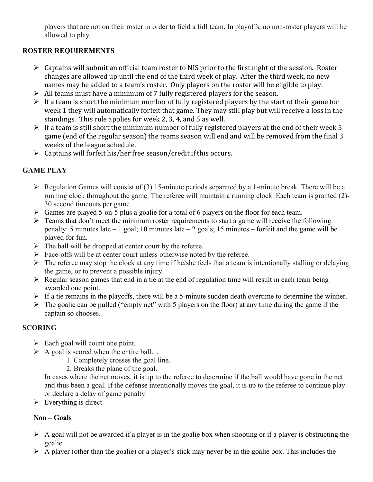players that are not on their roster in order to field a full team. In playoffs, no non-roster players will be allowed to play.

## **ROSTER REQUIREMENTS**

- $\triangleright$  Captains will submit an official team roster to NIS prior to the first night of the session. Roster changes are allowed up until the end of the third week of play. After the third week, no new names may be added to a team's roster. Only players on the roster will be eligible to play.
- $\triangleright$  All teams must have a minimum of 7 fully registered players for the season.
- $\triangleright$  If a team is short the minimum number of fully registered players by the start of their game for week 1 they will automatically forfeit that game. They may still play but will receive a loss in the standings. This rule applies for week 2, 3, 4, and  $5$  as well.
- $\triangleright$  If a team is still short the minimum number of fully registered players at the end of their week 5 game (end of the regular season) the teams season will end and will be removed from the final 3 weeks of the league schedule.
- $\triangleright$  Captains will forfeit his/her free season/credit if this occurs.

# **GAME PLAY**

- $\triangleright$  Regulation Games will consist of (3) 15-minute periods separated by a 1-minute break. There will be a running clock throughout the game. The referee will maintain a running clock. Each team is granted (2)- 30 second timeouts per game.
- Ø Games are played 5-on-5 plus a goalie for a total of 6 players on the floor for each team.
- $\triangleright$  Teams that don't meet the minimum roster requirements to start a game will receive the following penalty: 5 minutes late  $-1$  goal; 10 minutes late  $-2$  goals; 15 minutes – forfeit and the game will be played for fun.
- $\triangleright$  The ball will be dropped at center court by the referee.
- $\triangleright$  Face-offs will be at center court unless otherwise noted by the referee.
- $\triangleright$  The referee may stop the clock at any time if he/she feels that a team is intentionally stalling or delaying the game, or to prevent a possible injury.
- $\triangleright$  Regular season games that end in a tie at the end of regulation time will result in each team being awarded one point.
- $\triangleright$  If a tie remains in the playoffs, there will be a 5-minute sudden death overtime to determine the winner.
- $\triangleright$  The goalie can be pulled ("empty net" with 5 players on the floor) at any time during the game if the captain so chooses.

## **SCORING**

- $\triangleright$  Each goal will count one point.
- $\triangleright$  A goal is scored when the entire ball...
	- 1. Completely crosses the goal line.
	- 2. Breaks the plane of the goal.

In cases where the net moves, it is up to the referee to determine if the ball would have gone in the net and thus been a goal. If the defense intentionally moves the goal, it is up to the referee to continue play or declare a delay of game penalty.

 $\triangleright$  Everything is direct.

## **Non – Goals**

- $\triangleright$  A goal will not be awarded if a player is in the goalie box when shooting or if a player is obstructing the goalie.
- $\triangleright$  A player (other than the goalie) or a player's stick may never be in the goalie box. This includes the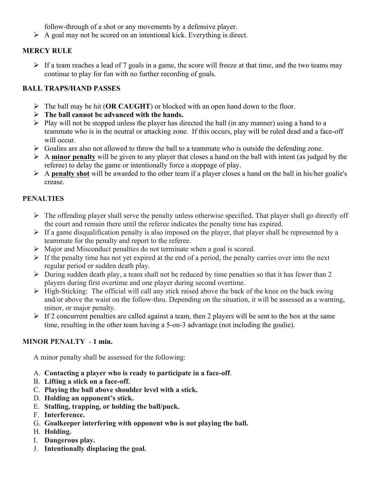follow-through of a shot or any movements by a defensive player.

 $\triangleright$  A goal may not be scored on an intentional kick. Everything is direct.

## **MERCY RULE**

 $\triangleright$  If a team reaches a lead of 7 goals in a game, the score will freeze at that time, and the two teams may continue to play for fun with no further recording of goals.

## **BALL TRAPS/HAND PASSES**

- Ø The ball may be hit (**OR CAUGHT**) or blocked with an open hand down to the floor.
- Ø **The ball cannot be advanced with the hands.**
- $\triangleright$  Play will not be stopped unless the player has directed the ball (in any manner) using a hand to a teammate who is in the neutral or attacking zone. If this occurs, play will be ruled dead and a face-off will occur
- $\triangleright$  Goalies are also not allowed to throw the ball to a teammate who is outside the defending zone.
- $\triangleright$  A **minor penalty** will be given to any player that closes a hand on the ball with intent (as judged by the referee) to delay the game or intentionally force a stoppage of play.
- Ø A **penalty shot** will be awarded to the other team if a player closes a hand on the ball in his/her goalie's crease.

## **PENALTIES**

- $\triangleright$  The offending player shall serve the penalty unless otherwise specified. That player shall go directly off the court and remain there until the referee indicates the penalty time has expired.
- $\triangleright$  If a game disqualification penalty is also imposed on the player, that player shall be represented by a teammate for the penalty and report to the referee.
- $\triangleright$  Major and Misconduct penalties do not terminate when a goal is scored.
- $\triangleright$  If the penalty time has not yet expired at the end of a period, the penalty carries over into the next regular period or sudden death play.
- $\triangleright$  During sudden death play, a team shall not be reduced by time penalties so that it has fewer than 2 players during first overtime and one player during second overtime.
- Ø High-Sticking: The official will call any stick raised above the back of the knee on the back swing and/or above the waist on the follow-thru. Depending on the situation, it will be assessed as a warning, minor, or major penalty.
- $\triangleright$  If 2 concurrent penalties are called against a team, then 2 players will be sent to the box at the same time, resulting in the other team having a 5-on-3 advantage (not including the goalie).

## **MINOR PENALTY** - **1 min.**

A minor penalty shall be assessed for the following:

- A. **Contacting a player who is ready to participate in a face-off**.
- B. **Lifting a stick on a face-off.**
- C. **Playing the ball above shoulder level with a stick.**
- D. **Holding an opponent's stick.**
- E. **Stalling, trapping, or holding the ball/puck.**
- F. **Interference.**
- G. **Goalkeeper interfering with opponent who is not playing the ball.**
- H. **Holding.**
- I. **Dangerous play.**
- J. **Intentionally displacing the goal.**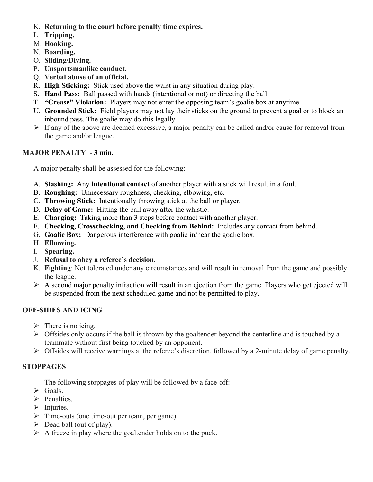- K. **Returning to the court before penalty time expires.**
- L. **Tripping.**
- M. **Hooking.**
- N. **Boarding.**
- O. **Sliding/Diving.**
- P. **Unsportsmanlike conduct.**
- Q. **Verbal abuse of an official.**
- R. **High Sticking:** Stick used above the waist in any situation during play.
- S. **Hand Pass:** Ball passed with hands (intentional or not) or directing the ball.
- T. **"Crease" Violation:** Players may not enter the opposing team's goalie box at anytime.
- U. **Grounded Stick:** Field players may not lay their sticks on the ground to prevent a goal or to block an inbound pass. The goalie may do this legally.
- $\triangleright$  If any of the above are deemed excessive, a major penalty can be called and/or cause for removal from the game and/or league.

#### **MAJOR PENALTY** - **3 min.**

A major penalty shall be assessed for the following:

- A. **Slashing:** Any **intentional contact** of another player with a stick will result in a foul.
- B. **Roughing:** Unnecessary roughness, checking, elbowing, etc.
- C. **Throwing Stick:** Intentionally throwing stick at the ball or player.
- D. **Delay of Game:** Hitting the ball away after the whistle.
- E. **Charging:** Taking more than 3 steps before contact with another player.
- F. **Checking, Crosschecking, and Checking from Behind:** Includes any contact from behind.
- G. **Goalie Box:** Dangerous interference with goalie in/near the goalie box.
- H. **Elbowing.**
- I. **Spearing.**
- J. **Refusal to obey a referee's decision.**
- K. **Fighting**: Not tolerated under any circumstances and will result in removal from the game and possibly the league.
- $\triangleright$  A second major penalty infraction will result in an ejection from the game. Players who get ejected will be suspended from the next scheduled game and not be permitted to play.

#### **OFF-SIDES AND ICING**

- $\triangleright$  There is no icing.
- $\triangleright$  Offsides only occurs if the ball is thrown by the goaltender beyond the centerline and is touched by a teammate without first being touched by an opponent.
- $\triangleright$  Offsides will receive warnings at the referee's discretion, followed by a 2-minute delay of game penalty.

#### **STOPPAGES**

The following stoppages of play will be followed by a face-off:

- $\triangleright$  Goals.
- $\triangleright$  Penalties.
- $\triangleright$  Injuries.
- $\triangleright$  Time-outs (one time-out per team, per game).
- $\triangleright$  Dead ball (out of play).
- $\triangleright$  A freeze in play where the goaltender holds on to the puck.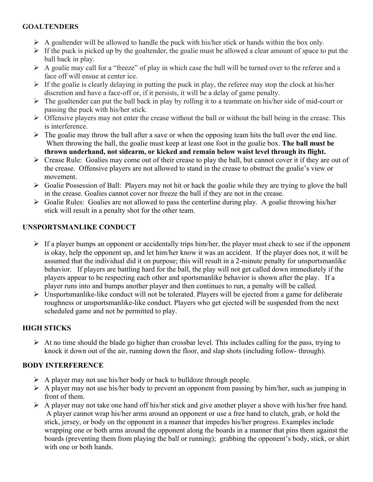## **GOALTENDERS**

- $\triangleright$  A goaltender will be allowed to handle the puck with his/her stick or hands within the box only.
- $\triangleright$  If the puck is picked up by the goaltender, the goalie must be allowed a clear amount of space to put the ball back in play.
- $\triangleright$  A goalie may call for a "freeze" of play in which case the ball will be turned over to the referee and a face off will ensue at center ice.
- $\triangleright$  If the goalie is clearly delaying in putting the puck in play, the referee may stop the clock at his/her discretion and have a face-off or, if it persists, it will be a delay of game penalty.
- $\triangleright$  The goaltender can put the ball back in play by rolling it to a teammate on his/her side of mid-court or passing the puck with his/her stick.
- $\triangleright$  Offensive players may not enter the crease without the ball or without the ball being in the crease. This is interference.
- $\triangleright$  The goalie may throw the ball after a save or when the opposing team hits the ball over the end line. When throwing the ball, the goalie must keep at least one foot in the goalie box. **The ball must be thrown underhand, not sidearm, or kicked and remain below waist level through its flight.**
- $\triangleright$  Crease Rule: Goalies may come out of their crease to play the ball, but cannot cover it if they are out of the crease. Offensive players are not allowed to stand in the crease to obstruct the goalie's view or movement.
- $\triangleright$  Goalie Possession of Ball: Players may not hit or hack the goalie while they are trying to glove the ball in the crease. Goalies cannot cover nor freeze the ball if they are not in the crease.
- $\triangleright$  Goalie Rules: Goalies are not allowed to pass the centerline during play. A goalie throwing his/her stick will result in a penalty shot for the other team.

## **UNSPORTSMANLIKE CONDUCT**

- $\triangleright$  If a player bumps an opponent or accidentally trips him/her, the player must check to see if the opponent is okay, help the opponent up, and let him/her know it was an accident. If the player does not, it will be assumed that the individual did it on purpose; this will result in a 2-minute penalty for unsportsmanlike behavior. If players are battling hard for the ball, the play will not get called down immediately if the players appear to be respecting each other and sportsmanlike behavior is shown after the play. If a player runs into and bumps another player and then continues to run, a penalty will be called.
- $\triangleright$  Unsportsmanlike-like conduct will not be tolerated. Players will be ejected from a game for deliberate roughness or unsportsmanlike-like conduct. Players who get ejected will be suspended from the next scheduled game and not be permitted to play.

# **HIGH STICKS**

 $\triangleright$  At no time should the blade go higher than crossbar level. This includes calling for the pass, trying to knock it down out of the air, running down the floor, and slap shots (including follow- through).

## **BODY INTERFERENCE**

- $\triangleright$  A player may not use his/her body or back to bulldoze through people.
- $\triangleright$  A player may not use his/her body to prevent an opponent from passing by him/her, such as jumping in front of them.
- $\triangleright$  A player may not take one hand off his/her stick and give another player a shove with his/her free hand. A player cannot wrap his/her arms around an opponent or use a free hand to clutch, grab, or hold the stick, jersey, or body on the opponent in a manner that impedes his/her progress. Examples include wrapping one or both arms around the opponent along the boards in a manner that pins them against the boards (preventing them from playing the ball or running); grabbing the opponent's body, stick, or shirt with one or both hands.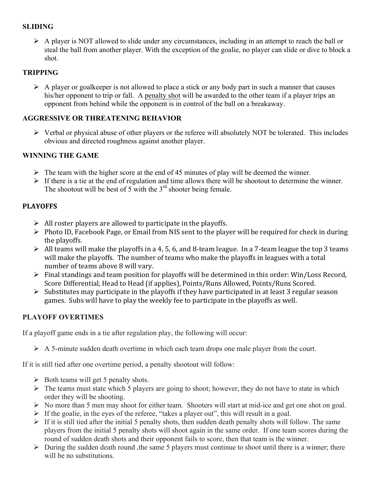## **SLIDING**

 $\triangleright$  A player is NOT allowed to slide under any circumstances, including in an attempt to reach the ball or steal the ball from another player. With the exception of the goalie, no player can slide or dive to block a shot.

## **TRIPPING**

 $\triangleright$  A player or goalkeeper is not allowed to place a stick or any body part in such a manner that causes his/her opponent to trip or fall. A penalty shot will be awarded to the other team if a player trips an opponent from behind while the opponent is in control of the ball on a breakaway.

## **AGGRESSIVE OR THREATENING BEHAVIOR**

 $\triangleright$  Verbal or physical abuse of other players or the referee will absolutely NOT be tolerated. This includes obvious and directed roughness against another player.

## **WINNING THE GAME**

- $\triangleright$  The team with the higher score at the end of 45 minutes of play will be deemed the winner.
- $\triangleright$  If there is a tie at the end of regulation and time allows there will be shootout to determine the winner. The shootout will be best of 5 with the  $3<sup>rd</sup>$  shooter being female.

## **PLAYOFFS**

- $\triangleright$  All roster players are allowed to participate in the playoffs.
- $\triangleright$  Photo ID, Facebook Page, or Email from NIS sent to the player will be required for check in during the playoffs.
- $\triangleright$  All teams will make the playoffs in a 4, 5, 6, and 8-team league. In a 7-team league the top 3 teams will make the playoffs. The number of teams who make the playoffs in leagues with a total number of teams above 8 will vary.
- $\triangleright$  Final standings and team position for playoffs will be determined in this order: Win/Loss Record, Score Differential, Head to Head (if applies), Points/Runs Allowed, Points/Runs Scored.
- $\triangleright$  Substitutes may participate in the playoffs if they have participated in at least 3 regular season games. Subs will have to play the weekly fee to participate in the playoffs as well.

## **PLAYOFF OVERTIMES**

If a playoff game ends in a tie after regulation play, the following will occur:

 $\triangleright$  A 5-minute sudden death overtime in which each team drops one male player from the court.

If it is still tied after one overtime period, a penalty shootout will follow:

- $\triangleright$  Both teams will get 5 penalty shots.
- $\triangleright$  The teams must state which 5 players are going to shoot; however, they do not have to state in which order they will be shooting.
- Ø No more than 5 men may shoot for either team. Shooters will start at mid-ice and get one shot on goal.
- $\triangleright$  If the goalie, in the eyes of the referee, "takes a player out", this will result in a goal.
- $\triangleright$  If it is still tied after the initial 5 penalty shots, then sudden death penalty shots will follow. The same players from the initial 5 penalty shots will shoot again in the same order. If one team scores during the round of sudden death shots and their opponent fails to score, then that team is the winner.
- $\triangleright$  During the sudden death round , the same 5 players must continue to shoot until there is a winner; there will be no substitutions.